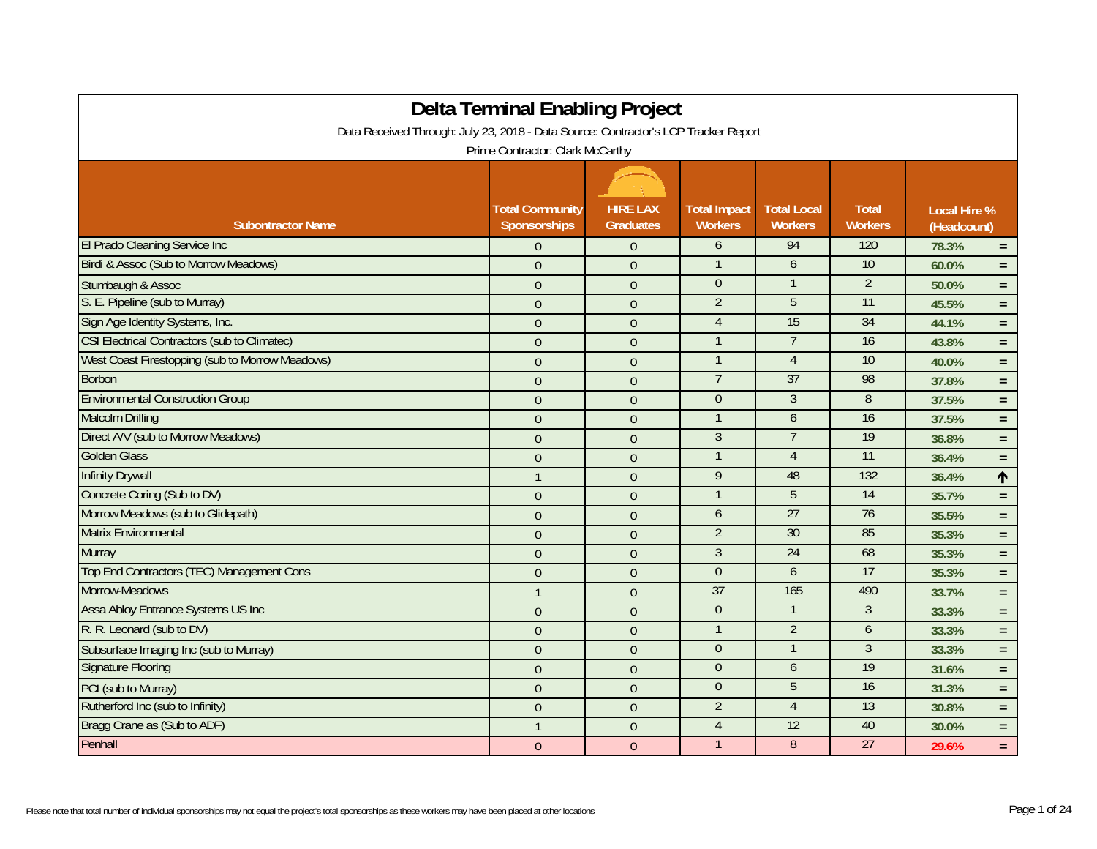| <b>Delta Terminal Enabling Project</b>                                              |                                               |                                     |                                       |                                      |                                |                                    |          |  |
|-------------------------------------------------------------------------------------|-----------------------------------------------|-------------------------------------|---------------------------------------|--------------------------------------|--------------------------------|------------------------------------|----------|--|
| Data Received Through: July 23, 2018 - Data Source: Contractor's LCP Tracker Report |                                               |                                     |                                       |                                      |                                |                                    |          |  |
| Prime Contractor: Clark McCarthy                                                    |                                               |                                     |                                       |                                      |                                |                                    |          |  |
|                                                                                     |                                               |                                     |                                       |                                      |                                |                                    |          |  |
| <b>Subontractor Name</b>                                                            | <b>Total Community</b><br><b>Sponsorships</b> | <b>HIRE LAX</b><br><b>Graduates</b> | <b>Total Impact</b><br><b>Workers</b> | <b>Total Local</b><br><b>Workers</b> | <b>Total</b><br><b>Workers</b> | <b>Local Hire %</b><br>(Headcount) |          |  |
| El Prado Cleaning Service Inc                                                       | $\theta$                                      | $\boldsymbol{0}$                    | 6                                     | 94                                   | 120                            | 78.3%                              | $\equiv$ |  |
| Birdi & Assoc (Sub to Morrow Meadows)                                               | $\mathbf{0}$                                  | $\mathbf{0}$                        |                                       | 6                                    | 10                             | 60.0%                              | $\equiv$ |  |
| Stumbaugh & Assoc                                                                   | $\mathbf{0}$                                  | $\boldsymbol{0}$                    | $\Omega$                              | $\mathbf{1}$                         | $\overline{2}$                 | 50.0%                              | $\equiv$ |  |
| S. E. Pipeline (sub to Murray)                                                      | $\theta$                                      | $\overline{0}$                      | $\overline{2}$                        | $\overline{5}$                       | $\overline{11}$                | 45.5%                              | $\equiv$ |  |
| Sign Age Identity Systems, Inc.                                                     | $\theta$                                      | $\mathbf 0$                         | $\overline{4}$                        | 15                                   | 34                             | 44.1%                              | $\equiv$ |  |
| <b>CSI Electrical Contractors (sub to Climatec)</b>                                 | $\theta$                                      | $\theta$                            |                                       | $\overline{7}$                       | 16                             | 43.8%                              | $\equiv$ |  |
| West Coast Firestopping (sub to Morrow Meadows)                                     | $\theta$                                      | $\boldsymbol{0}$                    |                                       | $\overline{4}$                       | 10                             | 40.0%                              | $\equiv$ |  |
| <b>Borbon</b>                                                                       | $\mathbf{0}$                                  | $\overline{0}$                      | $7\overline{ }$                       | 37                                   | 98                             | 37.8%                              | $\equiv$ |  |
| <b>Environmental Construction Group</b>                                             | $\theta$                                      | $\mathbf 0$                         | $\Omega$                              | 3                                    | 8                              | 37.5%                              | $\equiv$ |  |
| <b>Malcolm Drilling</b>                                                             | $\theta$                                      | $\overline{0}$                      |                                       | $\mathfrak b$                        | 16                             | 37.5%                              | $=$      |  |
| Direct A/V (sub to Morrow Meadows)                                                  | $\theta$                                      | $\mathbf{0}$                        | $\overline{3}$                        | $\overline{7}$                       | 19                             | 36.8%                              | $\equiv$ |  |
| <b>Golden Glass</b>                                                                 | $\overline{0}$                                | $\boldsymbol{0}$                    |                                       | $\overline{4}$                       | 11                             | 36.4%                              | $\equiv$ |  |
| <b>Infinity Drywall</b>                                                             | $\mathbf{1}$                                  | $\boldsymbol{0}$                    | 9                                     | 48                                   | 132                            | 36.4%                              | 个        |  |
| Concrete Coring (Sub to DV)                                                         | $\mathbf 0$                                   | $\boldsymbol{0}$                    |                                       | 5                                    | 14                             | 35.7%                              | $\equiv$ |  |
| Morrow Meadows (sub to Glidepath)                                                   | $\mathbf{0}$                                  | $\overline{0}$                      | 6                                     | 27                                   | 76                             | 35.5%                              | $\equiv$ |  |
| <b>Matrix Environmental</b>                                                         | $\theta$                                      | $\mathbf 0$                         | $\overline{2}$                        | 30                                   | 85                             | 35.3%                              | $\equiv$ |  |
| Murray                                                                              | $\theta$                                      | $\theta$                            | $\mathfrak{Z}$                        | 24                                   | 68                             | 35.3%                              | $\equiv$ |  |
| Top End Contractors (TEC) Management Cons                                           | $\theta$                                      | $\boldsymbol{0}$                    | $\overline{0}$                        | 6                                    | 17                             | 35.3%                              | $\equiv$ |  |
| Morrow-Meadows                                                                      | $\mathbf{1}$                                  | $\overline{0}$                      | 37                                    | 165                                  | 490                            | 33.7%                              | $\equiv$ |  |
| Assa Abloy Entrance Systems US Inc                                                  | $\theta$                                      | $\mathbf 0$                         | $\overline{0}$                        |                                      | 3                              | 33.3%                              | $\equiv$ |  |
| R. R. Leonard (sub to DV)                                                           | $\theta$                                      | $\overline{0}$                      |                                       | $\overline{2}$                       | 6                              | 33.3%                              | $\equiv$ |  |
| Subsurface Imaging Inc (sub to Murray)                                              | $\overline{0}$                                | $\overline{0}$                      | $\Omega$                              |                                      | 3                              | 33.3%                              | $\equiv$ |  |
| <b>Signature Flooring</b>                                                           | $\mathbf{0}$                                  | $\overline{0}$                      | $\Omega$                              | 6                                    | 19                             | 31.6%                              | $\equiv$ |  |
| PCI (sub to Murray)                                                                 | $\mathbf{0}$                                  | $\boldsymbol{0}$                    | $\Omega$                              | 5                                    | 16                             | 31.3%                              | $\equiv$ |  |
| Rutherford Inc (sub to Infinity)                                                    | $\theta$                                      | $\theta$                            | $\overline{2}$                        | $\overline{4}$                       | 13                             | 30.8%                              | $\equiv$ |  |
| Bragg Crane as (Sub to ADF)                                                         | $\mathbf{1}$                                  | $\mathbf{0}$                        | $\overline{4}$                        | $\overline{12}$                      | 40                             | 30.0%                              | $\equiv$ |  |
| Penhall                                                                             | $\theta$                                      | $\theta$                            |                                       | $\, 8$                               | 27                             | 29.6%                              | $\equiv$ |  |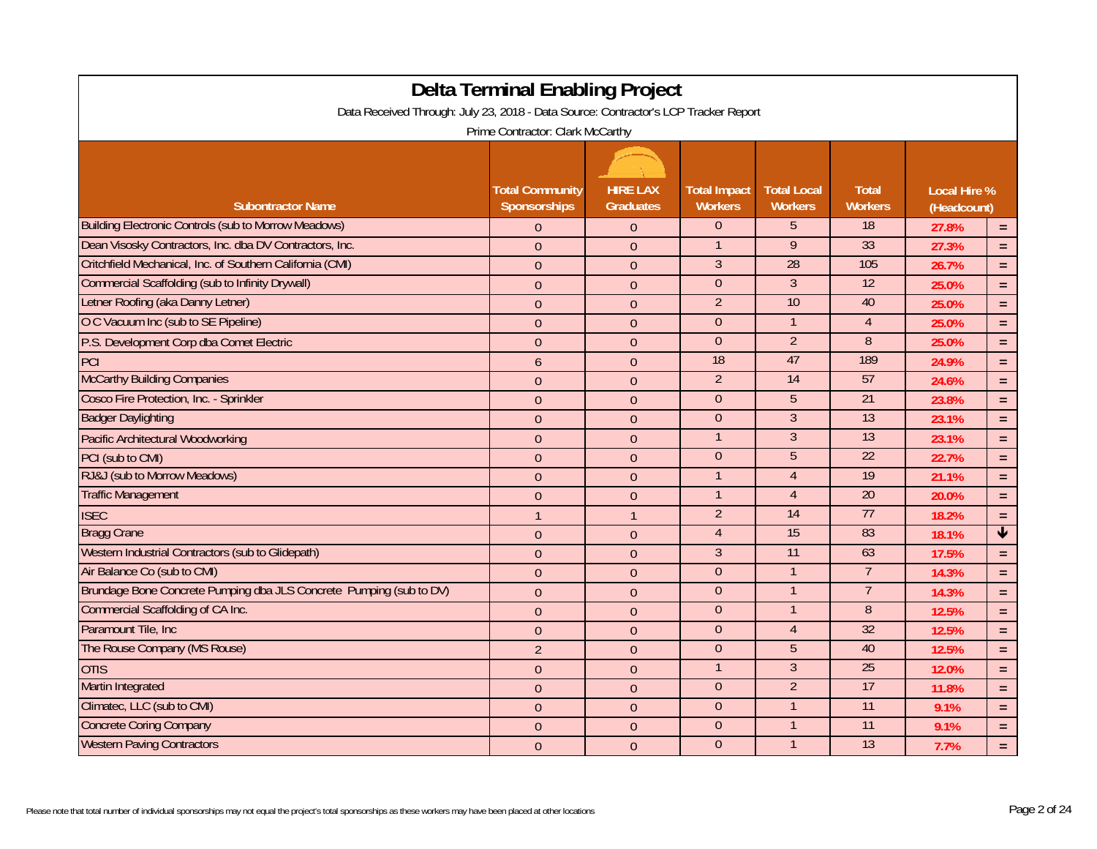| <b>Delta Terminal Enabling Project</b>                                              |                                        |                                     |                                       |                                      |                                |                                    |                         |  |
|-------------------------------------------------------------------------------------|----------------------------------------|-------------------------------------|---------------------------------------|--------------------------------------|--------------------------------|------------------------------------|-------------------------|--|
| Data Received Through: July 23, 2018 - Data Source: Contractor's LCP Tracker Report |                                        |                                     |                                       |                                      |                                |                                    |                         |  |
| Prime Contractor: Clark McCarthy                                                    |                                        |                                     |                                       |                                      |                                |                                    |                         |  |
|                                                                                     |                                        |                                     |                                       |                                      |                                |                                    |                         |  |
| <b>Subontractor Name</b>                                                            | <b>Total Community</b><br>Sponsorships | <b>HIRE LAX</b><br><b>Graduates</b> | <b>Total Impact</b><br><b>Workers</b> | <b>Total Local</b><br><b>Workers</b> | <b>Total</b><br><b>Workers</b> | <b>Local Hire %</b><br>(Headcount) |                         |  |
| <b>Building Electronic Controls (sub to Morrow Meadows)</b>                         | $\theta$                               | $\theta$                            | $\overline{0}$                        | 5                                    | 18                             | 27.8%                              | $\equiv$                |  |
| Dean Visosky Contractors, Inc. dba DV Contractors, Inc.                             | $\overline{0}$                         | $\overline{0}$                      |                                       | 9                                    | 33                             | 27.3%                              | $\equiv$                |  |
| Critchfield Mechanical, Inc. of Southern California (CMI)                           | $\mathbf{0}$                           | $\mathbf{0}$                        | 3                                     | $\overline{28}$                      | 105                            | 26.7%                              | $\equiv$                |  |
| <b>Commercial Scaffolding (sub to Infinity Drywall)</b>                             | $\theta$                               | $\overline{0}$                      | $\overline{0}$                        | 3                                    | $\overline{12}$                | 25.0%                              | $\equiv$                |  |
| Letner Roofing (aka Danny Letner)                                                   | $\mathbf{0}$                           | $\overline{0}$                      | $\overline{2}$                        | 10                                   | 40                             | 25.0%                              | $\equiv$                |  |
| O C Vacuum Inc (sub to SE Pipeline)                                                 | $\boldsymbol{0}$                       | $\overline{0}$                      | $\overline{0}$                        | $\mathbf{1}$                         | $\overline{4}$                 | 25.0%                              | $=$                     |  |
| P.S. Development Corp dba Comet Electric                                            | $\mathbf{0}$                           | $\overline{0}$                      | $\Omega$                              | $\overline{2}$                       | 8                              | 25.0%                              | $\equiv$                |  |
| PCI                                                                                 | 6                                      | $\mathbf{0}$                        | 18                                    | 47                                   | 189                            | 24.9%                              | $\equiv$                |  |
| <b>McCarthy Building Companies</b>                                                  | $\overline{0}$                         | $\overline{0}$                      | $\overline{2}$                        | 14                                   | 57                             | 24.6%                              | $\equiv$                |  |
| Cosco Fire Protection, Inc. - Sprinkler                                             | $\theta$                               | $\overline{0}$                      | $\overline{0}$                        | 5                                    | 21                             | 23.8%                              | $\equiv$                |  |
| <b>Badger Daylighting</b>                                                           | $\mathbf{0}$                           | $\mathbf{0}$                        | $\Omega$                              | 3                                    | 13                             | 23.1%                              | $\equiv$                |  |
| <b>Pacific Architectural Woodworking</b>                                            | $\theta$                               | $\mathbf{0}$                        |                                       | 3                                    | 13                             | 23.1%                              | $\equiv$                |  |
| PCI (sub to CMI)                                                                    | $\theta$                               | $\mathbf{0}$                        | $\mathbf{0}$                          | 5                                    | 22                             | 22.7%                              | $\equiv$                |  |
| RJ&J (sub to Morrow Meadows)                                                        | $\overline{0}$                         | $\overline{0}$                      |                                       | $\overline{4}$                       | 19                             | 21.1%                              | $\equiv$                |  |
| <b>Traffic Management</b>                                                           | $\boldsymbol{0}$                       | $\boldsymbol{0}$                    |                                       | $\overline{4}$                       | 20                             | 20.0%                              | $=$                     |  |
| <b>ISEC</b>                                                                         | $\overline{1}$                         | $\mathbf{1}$                        | $\overline{2}$                        | 14                                   | 77                             | 18.2%                              | $\equiv$                |  |
| <b>Bragg Crane</b>                                                                  | $\mathbf{0}$                           | $\overline{0}$                      | $\overline{4}$                        | 15                                   | 83                             | 18.1%                              | $\overline{\mathbf{f}}$ |  |
| Western Industrial Contractors (sub to Glidepath)                                   | $\overline{0}$                         | $\overline{0}$                      | $\overline{3}$                        | 11                                   | 63                             | 17.5%                              | $\equiv$                |  |
| Air Balance Co (sub to CMI)                                                         | $\mathbf{0}$                           | $\mathbf{0}$                        | $\overline{0}$                        | $\mathbf{1}$                         | $\overline{7}$                 | 14.3%                              | $\equiv$                |  |
| Brundage Bone Concrete Pumping dba JLS Concrete Pumping (sub to DV)                 | $\mathbf{0}$                           | $\mathbf{0}$                        | $\Omega$                              | 1                                    | 7                              | 14.3%                              | $\equiv$                |  |
| <b>Commercial Scaffolding of CA Inc.</b>                                            | $\mathbf{0}$                           | $\mathbf{0}$                        | $\overline{0}$                        |                                      | 8                              | 12.5%                              | $\equiv$                |  |
| Paramount Tile, Inc.                                                                | $\theta$                               | $\mathbf{0}$                        | $\mathbf{0}$                          | $\overline{4}$                       | 32                             | 12.5%                              | $\equiv$                |  |
| The Rouse Company (MS Rouse)                                                        | $\overline{2}$                         | $\overline{0}$                      | $\overline{0}$                        | 5                                    | 40                             | 12.5%                              | $\equiv$                |  |
| <b>OTIS</b>                                                                         | $\boldsymbol{0}$                       | $\mathbf{0}$                        | $\mathbf{1}$                          | 3                                    | 25                             | 12.0%                              | $\equiv$                |  |
| Martin Integrated                                                                   | $\mathbf{0}$                           | $\overline{0}$                      | $\mathbf{0}$                          | $\overline{2}$                       | 17                             | 11.8%                              | $\equiv$                |  |
| Climatec, LLC (sub to CMI)                                                          | $\mathbf{0}$                           | $\mathbf{0}$                        | $\overline{0}$                        | $\overline{1}$                       | $\overline{11}$                | 9.1%                               | $\equiv$                |  |
| <b>Concrete Coring Company</b>                                                      | $\overline{0}$                         | $\overline{0}$                      | $\overline{0}$                        |                                      | $\overline{11}$                | 9.1%                               | $\equiv$                |  |
| <b>Western Paving Contractors</b>                                                   | $\overline{0}$                         | $\overline{0}$                      | $\Omega$                              |                                      | 13                             | 7.7%                               | $\equiv$                |  |